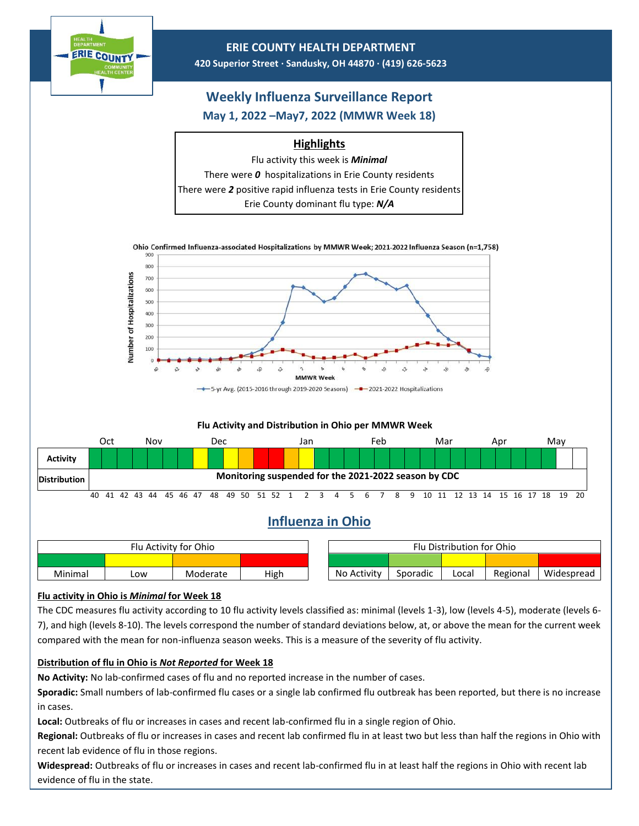

## **Flu activity in Ohio is** *Minimal* **for Week 18**

The CDC measures flu activity according to 10 flu activity levels classified as: minimal (levels 1-3), low (levels 4-5), moderate (levels 6- 7), and high (levels 8-10). The levels correspond the number of standard deviations below, at, or above the mean for the current week compared with the mean for non-influenza season weeks. This is a measure of the severity of flu activity.

**Distribution of flu in Ohio is** *Not Reported* **for Week 18**

**No Activity:** No lab-confirmed cases of flu and no reported increase in the number of cases.

**Sporadic:** Small numbers of lab-confirmed flu cases or a single lab confirmed flu outbreak has been reported, but there is no increase in cases.

**Local:** Outbreaks of flu or increases in cases and recent lab-confirmed flu in a single region of Ohio.

**Regional:** Outbreaks of flu or increases in cases and recent lab confirmed flu in at least two but less than half the regions in Ohio with recent lab evidence of flu in those regions.

**Widespread:** Outbreaks of flu or increases in cases and recent lab-confirmed flu in at least half the regions in Ohio with recent lab evidence of flu in the state.